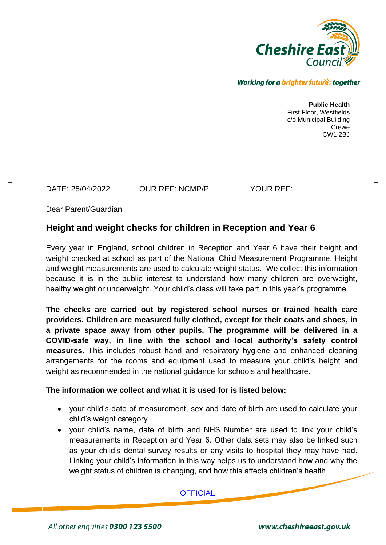

#### Working for a brighter futures together

**Public Health** First Floor, Westfields c/o Municipal Building Crewe CW1 2BJ

DATE: 25/04/2022 OUR REF: NCMP/P YOUR REF:

Dear Parent/Guardian

# **Height and weight checks for children in Reception and Year 6**

Every year in England, school children in Reception and Year 6 have their height and weight checked at school as part of the National Child Measurement Programme. Height and weight measurements are used to calculate weight status. We collect this information because it is in the public interest to understand how many children are overweight, healthy weight or underweight. Your child's class will take part in this year's programme.

**The checks are carried out by registered school nurses or trained health care providers. Children are measured fully clothed, except for their coats and shoes, in a private space away from other pupils. The programme will be delivered in a COVID-safe way, in line with the school and local authority's safety control measures.** This includes robust hand and respiratory hygiene and enhanced cleaning arrangements for the rooms and equipment used to measure your child's height and weight as recommended in the national guidance for schools and healthcare.

#### **The information we collect and what it is used for is listed below:**

- your child's date of measurement, sex and date of birth are used to calculate your child's weight category
- your child's name, date of birth and NHS Number are used to link your child's measurements in Reception and Year 6. Other data sets may also be linked such as your child's dental survey results or any visits to hospital they may have had. Linking your child's information in this way helps us to understand how and why the weight status of children is changing, and how this affects children's health

**OFFICIAL** 

All other enquiries 0300 123 5500

www.cheshireeast.gov.uk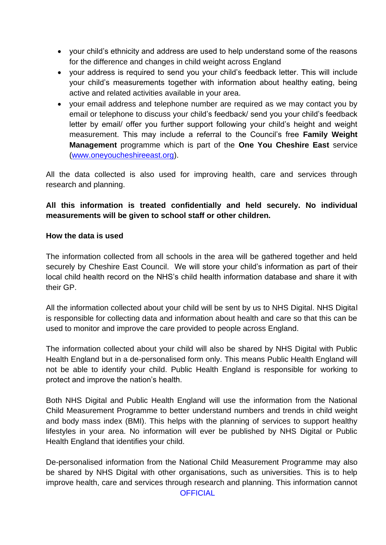- your child's ethnicity and address are used to help understand some of the reasons for the difference and changes in child weight across England
- your address is required to send you your child's feedback letter. This will include your child's measurements together with information about healthy eating, being active and related activities available in your area.
- your email address and telephone number are required as we may contact you by email or telephone to discuss your child's feedback/ send you your child's feedback letter by email/ offer you further support following your child's height and weight measurement. This may include a referral to the Council's free **Family Weight Management** programme which is part of the **One You Cheshire East** service [\(www.oneyoucheshireeast.org\)](http://www.oneyoucheshireeast.org/).

All the data collected is also used for improving health, care and services through research and planning.

# **All this information is treated confidentially and held securely. No individual measurements will be given to school staff or other children.**

### **How the data is used**

The information collected from all schools in the area will be gathered together and held securely by Cheshire East Council. We will store your child's information as part of their local child health record on the NHS's child health information database and share it with their GP.

All the information collected about your child will be sent by us to NHS Digital. NHS Digital is responsible for collecting data and information about health and care so that this can be used to monitor and improve the care provided to people across England.

The information collected about your child will also be shared by NHS Digital with Public Health England but in a de-personalised form only. This means Public Health England will not be able to identify your child. Public Health England is responsible for working to protect and improve the nation's health.

Both NHS Digital and Public Health England will use the information from the National Child Measurement Programme to better understand numbers and trends in child weight and body mass index (BMI). This helps with the planning of services to support healthy lifestyles in your area. No information will ever be published by NHS Digital or Public Health England that identifies your child.

**OFFICIAL** De-personalised information from the National Child Measurement Programme may also be shared by NHS Digital with other organisations, such as universities. This is to help improve health, care and services through research and planning. This information cannot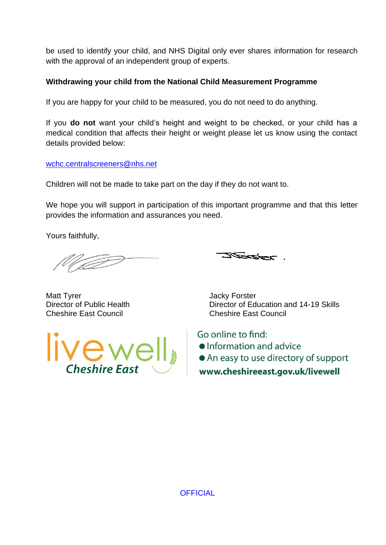be used to identify your child, and NHS Digital only ever shares information for research with the approval of an independent group of experts.

## **Withdrawing your child from the National Child Measurement Programme**

If you are happy for your child to be measured, you do not need to do anything.

If you **do not** want your child's height and weight to be checked, or your child has a medical condition that affects their height or weight please let us know using the contact details provided below:

[wchc.centralscreeners@nhs.net](mailto:wchc.centralscreeners@nhs.net)

Children will not be made to take part on the day if they do not want to.

We hope you will support in participation of this important programme and that this letter provides the information and assurances you need.

Yours faithfully,

<u> Zeorazport</u>

Matt Tyrer **Matt Tyrer** Service Contract Contract And Matt Tyrer Matt Tyrer Matt Tyrer Matt Contract Contract On Cheshire East Council Cheshire East Council



Director of Public Health Director of Education and 14-19 Skills

Go online to find: • Information and advice • An easy to use directory of support www.cheshireeast.gov.uk/livewell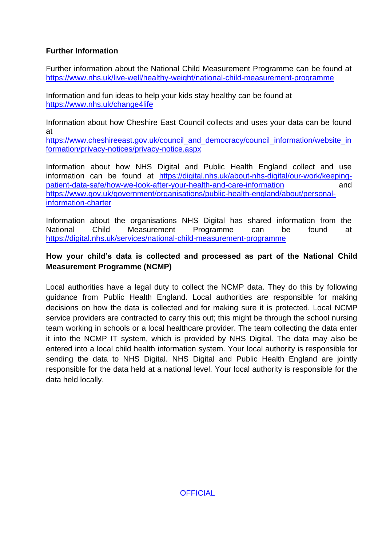### **Further Information**

Further information about the National Child Measurement Programme can be found at [https://www.nhs.uk/live-well/healthy-weight/national-child-measurement-programme](https://www.nhs.uk/live-well/healthy-weight/national-child-measurement-programme/)

Information and fun ideas to help your kids stay healthy can be found at <https://www.nhs.uk/change4life>

Information about how Cheshire East Council collects and uses your data can be found at

[https://www.cheshireeast.gov.uk/council\\_and\\_democracy/council\\_information/website\\_in](https://www.cheshireeast.gov.uk/council_and_democracy/council_information/website_information/privacy-notices/privacy-notice.aspx) [formation/privacy-notices/privacy-notice.aspx](https://www.cheshireeast.gov.uk/council_and_democracy/council_information/website_information/privacy-notices/privacy-notice.aspx)

Information about how NHS Digital and Public Health England collect and use information can be found at [https://digital.nhs.uk/about-nhs-digital/our-work/keeping](https://digital.nhs.uk/about-nhs-digital/our-work/keeping-patient-data-safe/how-we-look-after-your-health-and-care-information)[patient-data-safe/how-we-look-after-your-health-and-care-information](https://digital.nhs.uk/about-nhs-digital/our-work/keeping-patient-data-safe/how-we-look-after-your-health-and-care-information) and [https://www.gov.uk/government/organisations/public-health-england/about/personal](https://www.gov.uk/government/organisations/public-health-england/about/personal-information-charter)[information-charter](https://www.gov.uk/government/organisations/public-health-england/about/personal-information-charter)

Information about the organisations NHS Digital has shared information from the National Child Measurement Programme can be found at [https://digital.nhs.uk/services/national-child-measurement-programme](https://digital.nhs.uk/services/national-child-measurement-programme/)

## **How your child's data is collected and processed as part of the National Child Measurement Programme (NCMP)**

Local authorities have a legal duty to collect the NCMP data. They do this by following guidance from Public Health England. Local authorities are responsible for making decisions on how the data is collected and for making sure it is protected. Local NCMP service providers are contracted to carry this out; this might be through the school nursing team working in schools or a local healthcare provider. The team collecting the data enter it into the NCMP IT system, which is provided by NHS Digital. The data may also be entered into a local child health information system. Your local authority is responsible for sending the data to NHS Digital. NHS Digital and Public Health England are jointly responsible for the data held at a national level. Your local authority is responsible for the data held locally.